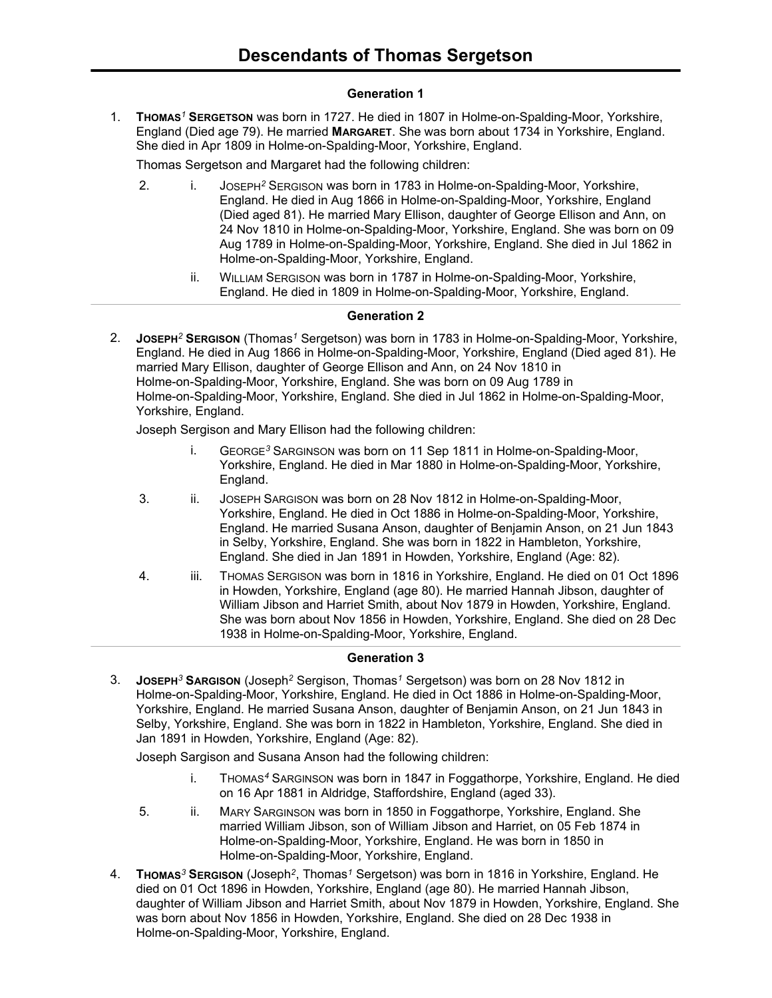### **Generation 1**

1. **THOMAS***<sup>1</sup>* **SERGETSON** was born in 1727. He died in 1807 in Holme-on-Spalding-Moor, Yorkshire, England (Died age 79). He married **MARGARET**. She was born about 1734 in Yorkshire, England. She died in Apr 1809 in Holme-on-Spalding-Moor, Yorkshire, England.

Thomas Sergetson and Margaret had the following children:

- 2. i. JOSEPH*<sup>2</sup>* SERGISON was born in 1783 in Holme-on-Spalding-Moor, Yorkshire, England. He died in Aug 1866 in Holme-on-Spalding-Moor, Yorkshire, England (Died aged 81). He married Mary Ellison, daughter of George Ellison and Ann, on 24 Nov 1810 in Holme-on-Spalding-Moor, Yorkshire, England. She was born on 09 Aug 1789 in Holme-on-Spalding-Moor, Yorkshire, England. She died in Jul 1862 in Holme-on-Spalding-Moor, Yorkshire, England.
	- ii. WILLIAM SERGISON was born in 1787 in Holme-on-Spalding-Moor, Yorkshire, England. He died in 1809 in Holme-on-Spalding-Moor, Yorkshire, England.

# **Generation 2**

2. **JOSEPH***<sup>2</sup>* **SERGISON** (Thomas*<sup>1</sup>* Sergetson) was born in 1783 in Holme-on-Spalding-Moor, Yorkshire, England. He died in Aug 1866 in Holme-on-Spalding-Moor, Yorkshire, England (Died aged 81). He married Mary Ellison, daughter of George Ellison and Ann, on 24 Nov 1810 in Holme-on-Spalding-Moor, Yorkshire, England. She was born on 09 Aug 1789 in Holme-on-Spalding-Moor, Yorkshire, England. She died in Jul 1862 in Holme-on-Spalding-Moor, Yorkshire, England.

Joseph Sergison and Mary Ellison had the following children:

- i. GEORGE*<sup>3</sup>* SARGINSON was born on 11 Sep 1811 in Holme-on-Spalding-Moor, Yorkshire, England. He died in Mar 1880 in Holme-on-Spalding-Moor, Yorkshire, England.
- 3. ii. JOSEPH SARGISON was born on 28 Nov 1812 in Holme-on-Spalding-Moor, Yorkshire, England. He died in Oct 1886 in Holme-on-Spalding-Moor, Yorkshire, England. He married Susana Anson, daughter of Benjamin Anson, on 21 Jun 1843 in Selby, Yorkshire, England. She was born in 1822 in Hambleton, Yorkshire, England. She died in Jan 1891 in Howden, Yorkshire, England (Age: 82).
- 4. iii. THOMAS SERGISON was born in 1816 in Yorkshire, England. He died on 01 Oct 1896 in Howden, Yorkshire, England (age 80). He married Hannah Jibson, daughter of William Jibson and Harriet Smith, about Nov 1879 in Howden, Yorkshire, England. She was born about Nov 1856 in Howden, Yorkshire, England. She died on 28 Dec 1938 in Holme-on-Spalding-Moor, Yorkshire, England.

### **Generation 3**

3. **JOSEPH***<sup>3</sup>* **SARGISON** (Joseph*<sup>2</sup>* Sergison, Thomas*<sup>1</sup>* Sergetson) was born on 28 Nov 1812 in Holme-on-Spalding-Moor, Yorkshire, England. He died in Oct 1886 in Holme-on-Spalding-Moor, Yorkshire, England. He married Susana Anson, daughter of Benjamin Anson, on 21 Jun 1843 in Selby, Yorkshire, England. She was born in 1822 in Hambleton, Yorkshire, England. She died in Jan 1891 in Howden, Yorkshire, England (Age: 82).

Joseph Sargison and Susana Anson had the following children:

- i. THOMAS*<sup>4</sup>* SARGINSON was born in 1847 in Foggathorpe, Yorkshire, England. He died on 16 Apr 1881 in Aldridge, Staffordshire, England (aged 33).
- 5. ii. MARY SARGINSON was born in 1850 in Foggathorpe, Yorkshire, England. She married William Jibson, son of William Jibson and Harriet, on 05 Feb 1874 in Holme-on-Spalding-Moor, Yorkshire, England. He was born in 1850 in Holme-on-Spalding-Moor, Yorkshire, England.
- 4. **THOMAS***<sup>3</sup>* **SERGISON** (Joseph*<sup>2</sup>* , Thomas*<sup>1</sup>* Sergetson) was born in 1816 in Yorkshire, England. He died on 01 Oct 1896 in Howden, Yorkshire, England (age 80). He married Hannah Jibson, daughter of William Jibson and Harriet Smith, about Nov 1879 in Howden, Yorkshire, England. She was born about Nov 1856 in Howden, Yorkshire, England. She died on 28 Dec 1938 in Holme-on-Spalding-Moor, Yorkshire, England.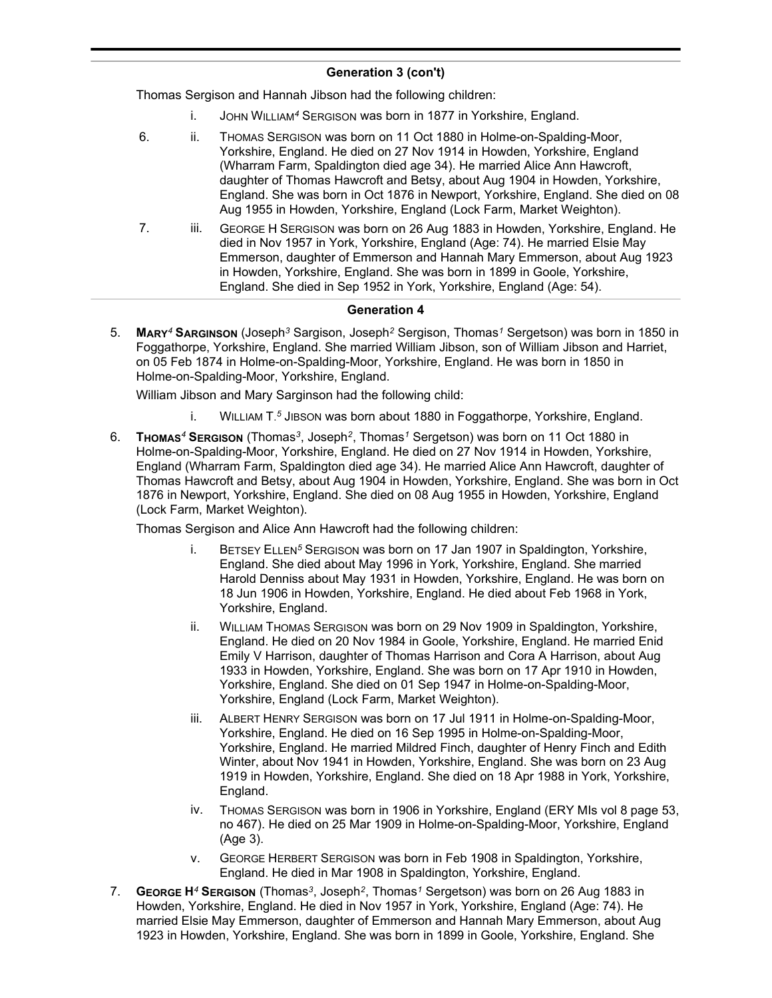# **Generation 3 (con't)**

Thomas Sergison and Hannah Jibson had the following children:

- i. JOHN WILLIAM*<sup>4</sup>* SERGISON was born in 1877 in Yorkshire, England.
- 6. ii. THOMAS SERGISON was born on 11 Oct 1880 in Holme-on-Spalding-Moor, Yorkshire, England. He died on 27 Nov 1914 in Howden, Yorkshire, England (Wharram Farm, Spaldington died age 34). He married Alice Ann Hawcroft, daughter of Thomas Hawcroft and Betsy, about Aug 1904 in Howden, Yorkshire, England. She was born in Oct 1876 in Newport, Yorkshire, England. She died on 08 Aug 1955 in Howden, Yorkshire, England (Lock Farm, Market Weighton).
- 7. iii. GEORGE H SERGISON was born on 26 Aug 1883 in Howden, Yorkshire, England. He died in Nov 1957 in York, Yorkshire, England (Age: 74). He married Elsie May Emmerson, daughter of Emmerson and Hannah Mary Emmerson, about Aug 1923 in Howden, Yorkshire, England. She was born in 1899 in Goole, Yorkshire, England. She died in Sep 1952 in York, Yorkshire, England (Age: 54).

#### **Generation 4**

5. **MARY***<sup>4</sup>* **SARGINSON** (Joseph*<sup>3</sup>* Sargison, Joseph*<sup>2</sup>* Sergison, Thomas*<sup>1</sup>* Sergetson) was born in 1850 in Foggathorpe, Yorkshire, England. She married William Jibson, son of William Jibson and Harriet, on 05 Feb 1874 in Holme-on-Spalding-Moor, Yorkshire, England. He was born in 1850 in Holme-on-Spalding-Moor, Yorkshire, England.

William Jibson and Mary Sarginson had the following child:

- i. WILLIAM T. *<sup>5</sup>* JIBSON was born about 1880 in Foggathorpe, Yorkshire, England.
- 6. **THOMAS***<sup>4</sup>* **SERGISON** (Thomas*<sup>3</sup>* , Joseph*<sup>2</sup>* , Thomas*<sup>1</sup>* Sergetson) was born on 11 Oct 1880 in Holme-on-Spalding-Moor, Yorkshire, England. He died on 27 Nov 1914 in Howden, Yorkshire, England (Wharram Farm, Spaldington died age 34). He married Alice Ann Hawcroft, daughter of Thomas Hawcroft and Betsy, about Aug 1904 in Howden, Yorkshire, England. She was born in Oct 1876 in Newport, Yorkshire, England. She died on 08 Aug 1955 in Howden, Yorkshire, England (Lock Farm, Market Weighton).

Thomas Sergison and Alice Ann Hawcroft had the following children:

- i. BETSEY ELLEN*<sup>5</sup>* SERGISON was born on 17 Jan 1907 in Spaldington, Yorkshire, England. She died about May 1996 in York, Yorkshire, England. She married Harold Denniss about May 1931 in Howden, Yorkshire, England. He was born on 18 Jun 1906 in Howden, Yorkshire, England. He died about Feb 1968 in York, Yorkshire, England.
- ii. WILLIAM THOMAS SERGISON was born on 29 Nov 1909 in Spaldington, Yorkshire, England. He died on 20 Nov 1984 in Goole, Yorkshire, England. He married Enid Emily V Harrison, daughter of Thomas Harrison and Cora A Harrison, about Aug 1933 in Howden, Yorkshire, England. She was born on 17 Apr 1910 in Howden, Yorkshire, England. She died on 01 Sep 1947 in Holme-on-Spalding-Moor, Yorkshire, England (Lock Farm, Market Weighton).
- iii. ALBERT HENRY SERGISON was born on 17 Jul 1911 in Holme-on-Spalding-Moor, Yorkshire, England. He died on 16 Sep 1995 in Holme-on-Spalding-Moor, Yorkshire, England. He married Mildred Finch, daughter of Henry Finch and Edith Winter, about Nov 1941 in Howden, Yorkshire, England. She was born on 23 Aug 1919 in Howden, Yorkshire, England. She died on 18 Apr 1988 in York, Yorkshire, England.
- iv. THOMAS SERGISON was born in 1906 in Yorkshire, England (ERY MIs vol 8 page 53, no 467). He died on 25 Mar 1909 in Holme-on-Spalding-Moor, Yorkshire, England (Age 3).
- v. GEORGE HERBERT SERGISON was born in Feb 1908 in Spaldington, Yorkshire, England. He died in Mar 1908 in Spaldington, Yorkshire, England.
- 7. **GEORGE H***<sup>4</sup>* **SERGISON** (Thomas*<sup>3</sup>* , Joseph*<sup>2</sup>* , Thomas*<sup>1</sup>* Sergetson) was born on 26 Aug 1883 in Howden, Yorkshire, England. He died in Nov 1957 in York, Yorkshire, England (Age: 74). He married Elsie May Emmerson, daughter of Emmerson and Hannah Mary Emmerson, about Aug 1923 in Howden, Yorkshire, England. She was born in 1899 in Goole, Yorkshire, England. She